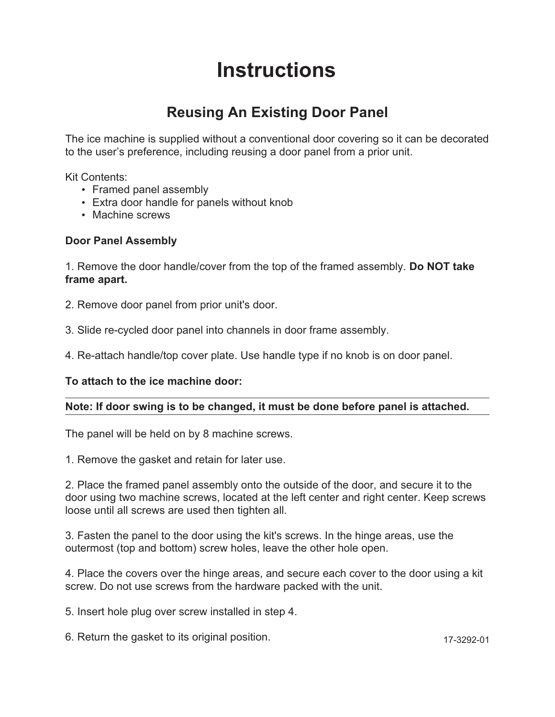# **Instructions**

## **Reusing An Existing Door Panel**

The ice machine is supplied without a conventional door covering so it can be decorated to the user's preference, including reusing a door panel from a prior unit.

Kit Contents:

- Framed panel assembly
- Extra door handle for panels without knob •
- Machine screws

#### **Door Panel Assembly**

1. Remove the door handle/cover from the top of the framed assembly. **Do NOT take frame apart.**

- 2. Remove door panel from prior unit's door.
- 3. Slide re-cycled door panel into channels in door frame assembly.
- 4. Re-attach handle/top cover plate. Use handle type if no knob is on door panel.

#### **To attach to the ice machine door:**

### **Note: If door swing is to be changed, it must be done before panel is attached.**

The panel will be held on by 8 machine screws.

1. Remove the gasket and retain for later use.

2. Place the framed panel assembly onto the outside of the door, and secure it to the door using two machine screws, located at the left center and right center. Keep screws loose until all screws are used then tighten all.

3. Fasten the panel to the door using the kit's screws. In the hinge areas, use the outermost (top and bottom) screw holes, leave the other hole open.

4. Place the covers over the hinge areas, and secure each cover to the door using a kit screw. Do not use screws from the hardware packed with the unit.

5. Insert hole plug over screw installed in step 4.

6. Return the gasket to its original position.